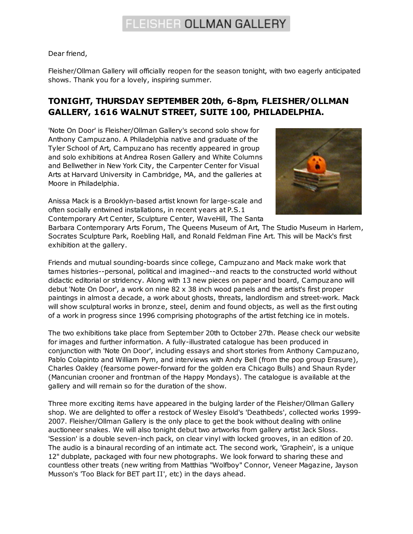## FLEISHER OLLMAN GALLERY

Dear friend,

Fleisher/Ollman Gallery will officially reopen for the season tonight, with two eagerly anticipated shows. Thank you for a lovely, inspiring summer.

## **TONIGHT, THURSDAY SEPTEMBER 20th, 6-8pm, FLEISHER/OLLMAN GALLERY, 1616 WALNUT STREET, SUITE 100, PHILADELPHIA.**

'Note On Door' is Fleisher/Ollman Gallery's second solo show for Anthony Campuzano. A Philadelphia native and graduate of the Tyler School of Art, Campuzano has recently appeared in group and solo exhibitions at Andrea Rosen Gallery and White Columns and Bellwether in New York City, the Carpenter Center for Visual Arts at Harvard University in Cambridge, MA, and the galleries at Moore in Philadelphia.

Anissa Mack is a Brooklyn-based artist known for large-scale and often socially entwined installations, in recent years at P.S.1 Contemporary Art Center, Sculpture Center, WaveHill, The Santa



Barbara Contemporary Arts Forum, The Queens Museum of Art, The Studio Museum in Harlem, Socrates Sculpture Park, Roebling Hall, and Ronald Feldman Fine Art. This will be Mack's first exhibition at the gallery.

Friends and mutual sounding-boards since college, Campuzano and Mack make work that tames histories--personal, political and imagined--and reacts to the constructed world without didactic editorial or stridency. Along with 13 new pieces on paper and board, Campuzano will debut 'Note On Door', a work on nine 82 x 38 inch wood panels and the artist's first proper paintings in almost a decade, a work about ghosts, threats, landlordism and street-work. Mack will show sculptural works in bronze, steel, denim and found objects, as well as the first outing of a work in progress since 1996 comprising photographs of the artist fetching ice in motels.

The two exhibitions take place from September 20th to October 27th. Please check our website for images and further information. A fully-illustrated catalogue has been produced in conjunction with 'Note On Door', including essays and short stories from Anthony Campuzano, Pablo Colapinto and William Pym, and interviews with Andy Bell (from the pop group Erasure), Charles Oakley (fearsome power-forward for the golden era Chicago Bulls) and Shaun Ryder (Mancunian crooner and frontman of the Happy Mondays). The catalogue is available at the gallery and will remain so for the duration of the show.

Three more exciting items have appeared in the bulging larder of the Fleisher/Ollman Gallery shop. We are delighted to offer a restock of Wesley Eisold's 'Deathbeds', collected works 1999- 2007. Fleisher/Ollman Gallery is the only place to get the book without dealing with online auctioneer snakes. We will also tonight debut two artworks from gallery artist Jack Sloss. 'Session' is a double seven-inch pack, on clear vinyl with locked grooves, in an edition of 20. The audio is a binaural recording of an intimate act. The second work, 'Graphein', is a unique 12" dubplate, packaged with four new photographs. We look forward to sharing these and countless other treats (new writing from Matthias "Wolfboy" Connor, Veneer Magazine, Jayson Musson's 'Too Black for BET part II', etc) in the days ahead.